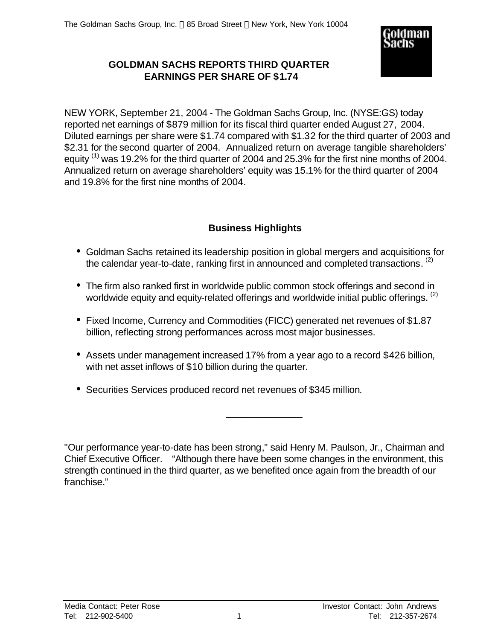

# **GOLDMAN SACHS REPORTS THIRD QUARTER EARNINGS PER SHARE OF \$1.74**

NEW YORK, September 21, 2004 - The Goldman Sachs Group, Inc. (NYSE:GS) today reported net earnings of \$879 million for its fiscal third quarter ended August 27, 2004. Diluted earnings per share were \$1.74 compared with \$1.32 for the third quarter of 2003 and \$2.31 for the second quarter of 2004. Annualized return on average tangible shareholders' equity  $^{(1)}$  was 19.2% for the third quarter of 2004 and 25.3% for the first nine months of 2004. Annualized return on average shareholders' equity was 15.1% for the third quarter of 2004 and 19.8% for the first nine months of 2004.

# **Business Highlights**

- Goldman Sachs retained its leadership position in global mergers and acquisitions for the calendar year-to-date, ranking first in announced and completed transactions.  $^{(2)}$
- The firm also ranked first in worldwide public common stock offerings and second in worldwide equity and equity-related offerings and worldwide initial public offerings. <sup>(2)</sup>
- Fixed Income, Currency and Commodities (FICC) generated net revenues of \$1.87 billion, reflecting strong performances across most major businesses.
- Assets under management increased 17% from a year ago to a record \$426 billion, with net asset inflows of \$10 billion during the quarter.
- Securities Services produced record net revenues of \$345 million.

"Our performance year-to-date has been strong," said Henry M. Paulson, Jr., Chairman and Chief Executive Officer. "Although there have been some changes in the environment, this strength continued in the third quarter, as we benefited once again from the breadth of our franchise."

\_\_\_\_\_\_\_\_\_\_\_\_\_\_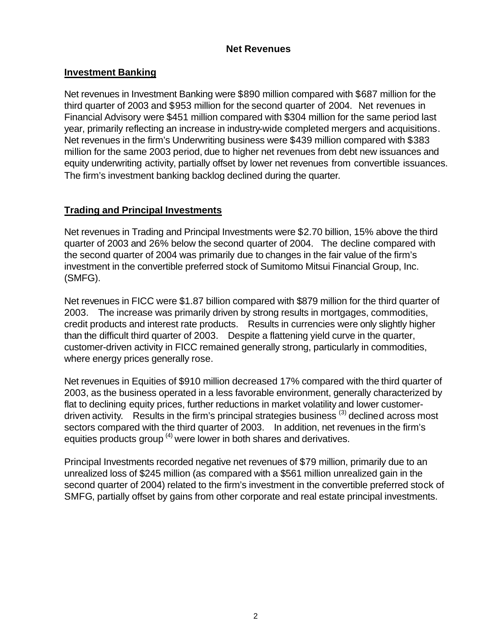## **Net Revenues**

## **Investment Banking**

Net revenues in Investment Banking were \$890 million compared with \$687 million for the third quarter of 2003 and \$953 million for the second quarter of 2004. Net revenues in Financial Advisory were \$451 million compared with \$304 million for the same period last year, primarily reflecting an increase in industry-wide completed mergers and acquisitions. Net revenues in the firm's Underwriting business were \$439 million compared with \$383 million for the same 2003 period, due to higher net revenues from debt new issuances and equity underwriting activity, partially offset by lower net revenues from convertible issuances. The firm's investment banking backlog declined during the quarter*.*

# **Trading and Principal Investments**

Net revenues in Trading and Principal Investments were \$2.70 billion, 15% above the third quarter of 2003 and 26% below the second quarter of 2004. The decline compared with the second quarter of 2004 was primarily due to changes in the fair value of the firm's investment in the convertible preferred stock of Sumitomo Mitsui Financial Group, Inc. (SMFG).

Net revenues in FICC were \$1.87 billion compared with \$879 million for the third quarter of 2003. The increase was primarily driven by strong results in mortgages, commodities, credit products and interest rate products. Results in currencies were only slightly higher than the difficult third quarter of 2003. Despite a flattening yield curve in the quarter, customer-driven activity in FICC remained generally strong, particularly in commodities, where energy prices generally rose.

Net revenues in Equities of \$910 million decreased 17% compared with the third quarter of 2003, as the business operated in a less favorable environment, generally characterized by flat to declining equity prices, further reductions in market volatility and lower customerdriven activity. Results in the firm's principal strategies business  $^{(3)}$  declined across most sectors compared with the third quarter of 2003. In addition, net revenues in the firm's equities products group<sup>(4)</sup> were lower in both shares and derivatives.

Principal Investments recorded negative net revenues of \$79 million, primarily due to an unrealized loss of \$245 million (as compared with a \$561 million unrealized gain in the second quarter of 2004) related to the firm's investment in the convertible preferred stock of SMFG, partially offset by gains from other corporate and real estate principal investments.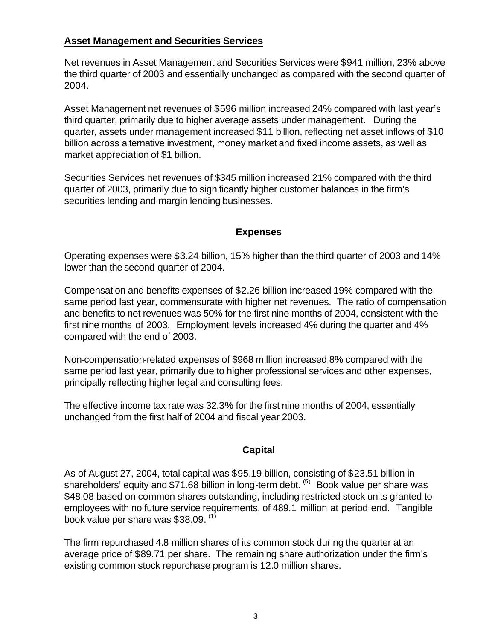## **Asset Management and Securities Services**

Net revenues in Asset Management and Securities Services were \$941 million, 23% above the third quarter of 2003 and essentially unchanged as compared with the second quarter of 2004.

Asset Management net revenues of \$596 million increased 24% compared with last year's third quarter, primarily due to higher average assets under management. During the quarter, assets under management increased \$11 billion, reflecting net asset inflows of \$10 billion across alternative investment, money market and fixed income assets, as well as market appreciation of \$1 billion.

Securities Services net revenues of \$345 million increased 21% compared with the third quarter of 2003, primarily due to significantly higher customer balances in the firm's securities lending and margin lending businesses.

## **Expenses**

Operating expenses were \$3.24 billion, 15% higher than the third quarter of 2003 and 14% lower than the second quarter of 2004.

Compensation and benefits expenses of \$2.26 billion increased 19% compared with the same period last year, commensurate with higher net revenues. The ratio of compensation and benefits to net revenues was 50% for the first nine months of 2004, consistent with the first nine months of 2003. Employment levels increased 4% during the quarter and 4% compared with the end of 2003.

Non-compensation-related expenses of \$968 million increased 8% compared with the same period last year, primarily due to higher professional services and other expenses, principally reflecting higher legal and consulting fees.

The effective income tax rate was 32.3% for the first nine months of 2004, essentially unchanged from the first half of 2004 and fiscal year 2003.

## **Capital**

As of August 27, 2004, total capital was \$95.19 billion, consisting of \$23.51 billion in shareholders' equity and \$71.68 billion in long-term debt. <sup>(5)</sup> Book value per share was \$48.08 based on common shares outstanding, including restricted stock units granted to employees with no future service requirements, of 489.1 million at period end. Tangible book value per share was \$38.09. <sup>(1)</sup>

The firm repurchased 4.8 million shares of its common stock during the quarter at an average price of \$89.71 per share. The remaining share authorization under the firm's existing common stock repurchase program is 12.0 million shares.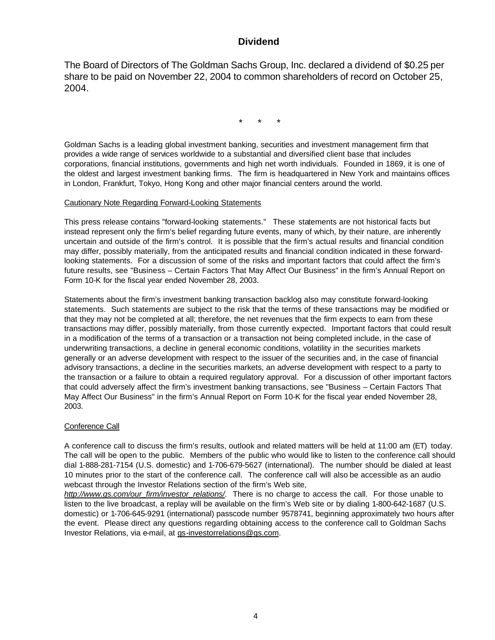## **Dividend**

The Board of Directors of The Goldman Sachs Group, Inc. declared a dividend of \$0.25 per share to be paid on November 22, 2004 to common shareholders of record on October 25, 2004.

\* \* \*

Goldman Sachs is a leading global investment banking, securities and investment management firm that provides a wide range of services worldwide to a substantial and diversified client base that includes corporations, financial institutions, governments and high net worth individuals. Founded in 1869, it is one of the oldest and largest investment banking firms. The firm is headquartered in New York and maintains offices in London, Frankfurt, Tokyo, Hong Kong and other major financial centers around the world.

### Cautionary Note Regarding Forward-Looking Statements

This press release contains "forward-looking statements." These statements are not historical facts but instead represent only the firm's belief regarding future events, many of which, by their nature, are inherently uncertain and outside of the firm's control. It is possible that the firm's actual results and financial condition may differ, possibly materially, from the anticipated results and financial condition indicated in these forwardlooking statements. For a discussion of some of the risks and important factors that could affect the firm's future results, see "Business – Certain Factors That May Affect Our Business" in the firm's Annual Report on Form 10-K for the fiscal year ended November 28, 2003.

Statements about the firm's investment banking transaction backlog also may constitute forward-looking statements. Such statements are subject to the risk that the terms of these transactions may be modified or that they may not be completed at all; therefore, the net revenues that the firm expects to earn from these transactions may differ, possibly materially, from those currently expected. Important factors that could result in a modification of the terms of a transaction or a transaction not being completed include, in the case of underwriting transactions, a decline in general economic conditions, volatility in the securities markets generally or an adverse development with respect to the issuer of the securities and, in the case of financial advisory transactions, a decline in the securities markets, an adverse development with respect to a party to the transaction or a failure to obtain a required regulatory approval. For a discussion of other important factors that could adversely affect the firm's investment banking transactions, see "Business – Certain Factors That May Affect Our Business" in the firm's Annual Report on Form 10-K for the fiscal year ended November 28, 2003.

## Conference Call

A conference call to discuss the firm's results, outlook and related matters will be held at 11:00 am (ET) today. The call will be open to the public. Members of the public who would like to listen to the conference call should dial 1-888-281-7154 (U.S. domestic) and 1-706-679-5627 (international). The number should be dialed at least 10 minutes prior to the start of the conference call. The conference call will also be accessible as an audio webcast through the Investor Relations section of the firm's Web site,

*http://www.gs.com/our\_firm/investor\_relations/*. There is no charge to access the call. For those unable to listen to the live broadcast, a replay will be available on the firm's Web site or by dialing 1-800-642-1687 (U.S. domestic) or 1-706-645-9291 (international) passcode number 9578741, beginning approximately two hours after the event. Please direct any questions regarding obtaining access to the conference call to Goldman Sachs Investor Relations, via e-mail, at gs-investorrelations@gs.com.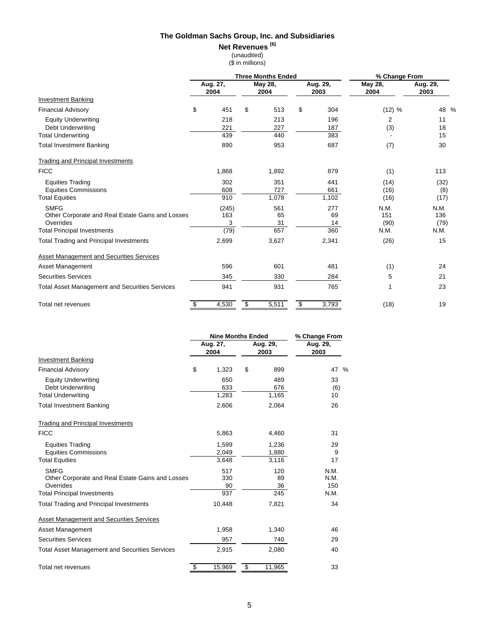#### **Net Revenues (6)**

(unaudited)

|  | (\$ in millions) |  |
|--|------------------|--|
|  |                  |  |

|                                                       | <b>Three Months Ended</b> |                  |    |                 |    | % Change From    |                 |                  |
|-------------------------------------------------------|---------------------------|------------------|----|-----------------|----|------------------|-----------------|------------------|
|                                                       |                           | Aug. 27,<br>2004 |    | May 28,<br>2004 |    | Aug. 29,<br>2003 | May 28,<br>2004 | Aug. 29,<br>2003 |
| <b>Investment Banking</b>                             |                           |                  |    |                 |    |                  |                 |                  |
| <b>Financial Advisory</b>                             | \$                        | 451              | \$ | 513             | \$ | 304              | (12) %          | 48<br>%          |
| <b>Equity Underwriting</b><br>Debt Underwriting       |                           | 218<br>221       |    | 213<br>227      |    | 196<br>187       | 2<br>(3)        | 11<br>18         |
| <b>Total Underwriting</b>                             |                           | 439              |    | 440             |    | 383              |                 | 15               |
| <b>Total Investment Banking</b>                       |                           | 890              |    | 953             |    | 687              | (7)             | 30               |
| <b>Trading and Principal Investments</b>              |                           |                  |    |                 |    |                  |                 |                  |
| <b>FICC</b>                                           |                           | 1,868            |    | 1,892           |    | 879              | (1)             | 113              |
| <b>Equities Trading</b>                               |                           | 302              |    | 351             |    | 441              | (14)            | (32)             |
| <b>Equities Commissions</b>                           |                           | 608              |    | 727             |    | 661              | (16)            | (8)              |
| <b>Total Equities</b>                                 |                           | 910              |    | 1,078           |    | 1,102            | (16)            | (17)             |
| <b>SMFG</b>                                           |                           | (245)            |    | 561             |    | 277              | N.M.            | N.M.             |
| Other Corporate and Real Estate Gains and Losses      |                           | 163              |    | 65              |    | 69               | 151             | 136              |
| Overrides                                             |                           | 3<br>(79)        |    | 31<br>657       |    | 14<br>360        | (90)<br>N.M.    | (79)<br>N.M.     |
| <b>Total Principal Investments</b>                    |                           |                  |    |                 |    |                  |                 |                  |
| <b>Total Trading and Principal Investments</b>        |                           | 2,699            |    | 3,627           |    | 2,341            | (26)            | 15               |
| <b>Asset Management and Securities Services</b>       |                           |                  |    |                 |    |                  |                 |                  |
| Asset Management                                      |                           | 596              |    | 601             |    | 481              | (1)             | 24               |
| <b>Securities Services</b>                            |                           | 345              |    | 330             |    | 284              | 5               | 21               |
| <b>Total Asset Management and Securities Services</b> |                           | 941              |    | 931             |    | 765              | 1               | 23               |
| Total net revenues                                    | \$                        | 4,530            | \$ | 5,511           | \$ | 3,793            | (18)            | 19               |

|                                                                              | <b>Nine Months Ended</b> | % Change From    |                     |
|------------------------------------------------------------------------------|--------------------------|------------------|---------------------|
|                                                                              | Aug. 27,<br>2004         | Aug. 29,<br>2003 | Aug. 29,<br>2003    |
| <b>Investment Banking</b>                                                    |                          |                  |                     |
| <b>Financial Advisory</b>                                                    | \$<br>1,323              | \$<br>899        | 47 %                |
| <b>Equity Underwriting</b><br><b>Debt Underwriting</b>                       | 650<br>633               | 489<br>676       | 33<br>(6)           |
| <b>Total Underwriting</b>                                                    | 1,283                    | 1,165            | 10                  |
| <b>Total Investment Banking</b>                                              | 2,606                    | 2,064            | 26                  |
| <b>Trading and Principal Investments</b>                                     |                          |                  |                     |
| <b>FICC</b>                                                                  | 5,863                    | 4,460            | 31                  |
| <b>Equities Trading</b><br><b>Equities Commissions</b>                       | 1,599<br>2,049           | 1,236<br>1,880   | 29<br>9             |
| <b>Total Equities</b>                                                        | 3.648                    | 3,116            | 17                  |
| <b>SMFG</b><br>Other Corporate and Real Estate Gains and Losses<br>Overrides | 517<br>330<br>90         | 120<br>89<br>36  | N.M.<br>N.M.<br>150 |
| <b>Total Principal Investments</b>                                           | 937                      | 245              | N.M.                |
| <b>Total Trading and Principal Investments</b>                               | 10,448                   | 7,821            | 34                  |
| <b>Asset Management and Securities Services</b>                              |                          |                  |                     |
| Asset Management                                                             | 1,958                    | 1,340            | 46                  |
| <b>Securities Services</b>                                                   | 957                      | 740              | 29                  |
| <b>Total Asset Management and Securities Services</b>                        | 2,915                    | 2,080            | 40                  |
| Total net revenues                                                           | \$<br>15,969             | \$<br>11,965     | 33                  |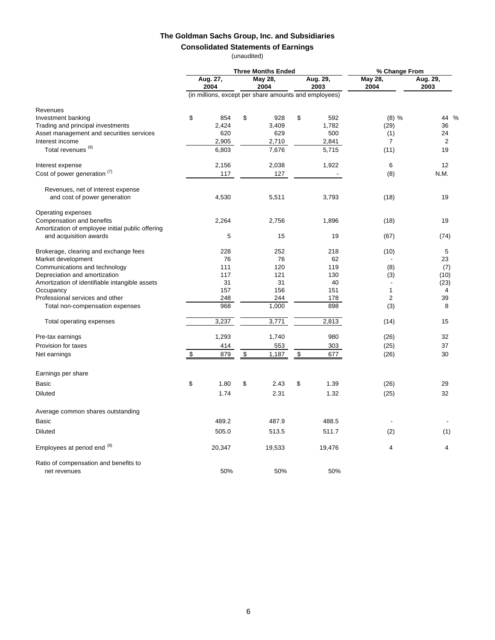## **Consolidated Statements of Earnings**

(unaudited)

|                                                       | <b>Three Months Ended</b> |                                                       |    |                 |    | % Change From    |                 |                  |
|-------------------------------------------------------|---------------------------|-------------------------------------------------------|----|-----------------|----|------------------|-----------------|------------------|
|                                                       |                           | Aug. 27,<br>2004                                      |    | May 28,<br>2004 |    | Aug. 29,<br>2003 | May 28,<br>2004 | Aug. 29,<br>2003 |
|                                                       |                           | (in millions, except per share amounts and employees) |    |                 |    |                  |                 |                  |
| Revenues                                              |                           |                                                       |    |                 |    |                  |                 |                  |
| Investment banking                                    | \$                        | 854                                                   | \$ | 928             | \$ | 592              | (8) %           | 44 %             |
| Trading and principal investments                     |                           | 2,424                                                 |    | 3,409           |    | 1,782            | (29)            | 36               |
| Asset management and securities services              |                           | 620                                                   |    | 629             |    | 500              | (1)             | 24               |
| Interest income                                       |                           | 2,905                                                 |    | 2,710           |    | 2,841            | 7               | $\overline{2}$   |
| Total revenues <sup>(6)</sup>                         |                           | 6,803                                                 |    | 7,676           |    | 5,715            | (11)            | 19               |
| Interest expense                                      |                           | 2,156                                                 |    | 2,038           |    | 1,922            | 6               | 12               |
| Cost of power generation (1)                          |                           | 117                                                   |    | 127             |    |                  | (8)             | N.M.             |
| Revenues, net of interest expense                     |                           |                                                       |    |                 |    |                  |                 |                  |
| and cost of power generation                          |                           | 4,530                                                 |    | 5,511           |    | 3,793            | (18)            | 19               |
| Operating expenses                                    |                           |                                                       |    |                 |    |                  |                 |                  |
| Compensation and benefits                             |                           | 2,264                                                 |    | 2,756           |    | 1,896            | (18)            | 19               |
| Amortization of employee initial public offering      |                           |                                                       |    |                 |    |                  |                 |                  |
| and acquisition awards                                |                           | 5                                                     |    | 15              |    | 19               | (67)            | (74)             |
| Brokerage, clearing and exchange fees                 |                           | 228                                                   |    | 252             |    | 218              | (10)            | 5                |
| Market development                                    |                           | 76                                                    |    | 76              |    | 62               |                 | 23               |
| Communications and technology                         |                           | 111                                                   |    | 120             |    | 119              | (8)             | (7)              |
| Depreciation and amortization                         |                           | 117                                                   |    | 121             |    | 130              | (3)             | (10)             |
| Amortization of identifiable intangible assets        |                           | 31                                                    |    | 31              |    | 40               |                 | (23)             |
| Occupancy                                             |                           | 157                                                   |    | 156             |    | 151              | 1               | 4                |
| Professional services and other                       |                           | 248                                                   |    | 244             |    | 178              | $\overline{2}$  | 39               |
| Total non-compensation expenses                       |                           | 968                                                   |    | 1,000           |    | 898              | (3)             | 8                |
| Total operating expenses                              |                           | 3,237                                                 |    | 3,771           |    | 2,813            | (14)            | 15               |
| Pre-tax earnings                                      |                           | 1,293                                                 |    | 1,740           |    | 980              | (26)            | 32               |
| Provision for taxes                                   |                           | 414                                                   |    | 553             |    | 303              | (25)            | 37               |
| Net earnings                                          | \$                        | 879                                                   | \$ | 1,187           | \$ | 677              | (26)            | 30               |
| Earnings per share                                    |                           |                                                       |    |                 |    |                  |                 |                  |
| Basic                                                 | \$                        | 1.80                                                  | \$ | 2.43            | \$ | 1.39             | (26)            | 29               |
| <b>Diluted</b>                                        |                           | 1.74                                                  |    | 2.31            |    | 1.32             | (25)            | 32               |
|                                                       |                           |                                                       |    |                 |    |                  |                 |                  |
| Average common shares outstanding                     |                           |                                                       |    |                 |    |                  |                 |                  |
| <b>Basic</b>                                          |                           | 489.2                                                 |    | 487.9           |    | 488.5            |                 |                  |
| <b>Diluted</b>                                        |                           | 505.0                                                 |    | 513.5           |    | 511.7            | (2)             | (1)              |
| Employees at period end (8)                           |                           | 20,347                                                |    | 19,533          |    | 19,476           | 4               | 4                |
| Ratio of compensation and benefits to<br>net revenues |                           | 50%                                                   |    | 50%             |    | 50%              |                 |                  |
|                                                       |                           |                                                       |    |                 |    |                  |                 |                  |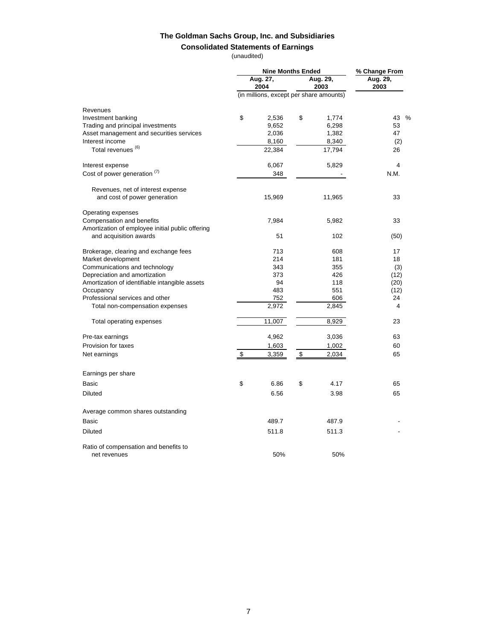# **Consolidated Statements of Earnings**

(unaudited)

|                                                                            |                                      | <b>Nine Months Ended</b>                | % Change From |                  |      |
|----------------------------------------------------------------------------|--------------------------------------|-----------------------------------------|---------------|------------------|------|
|                                                                            | Aug. 27,<br>Aug. 29,<br>2004<br>2003 |                                         |               | Aug. 29,<br>2003 |      |
|                                                                            |                                      | (in millions, except per share amounts) |               |                  |      |
| Revenues                                                                   |                                      |                                         |               |                  |      |
| Investment banking                                                         | \$                                   | 2,536                                   | \$            | 1,774            | 43 % |
| Trading and principal investments                                          |                                      | 9,652                                   |               | 6,298            | 53   |
| Asset management and securities services                                   |                                      | 2,036                                   |               | 1,382            | 47   |
| Interest income                                                            |                                      | 8,160                                   |               | 8,340            | (2)  |
| Total revenues <sup>(6)</sup>                                              |                                      | 22,384                                  |               | 17,794           | 26   |
| Interest expense                                                           |                                      | 6,067                                   |               | 5,829            | 4    |
| Cost of power generation (7)                                               |                                      | 348                                     |               |                  | N.M. |
| Revenues, net of interest expense                                          |                                      |                                         |               |                  |      |
| and cost of power generation                                               |                                      | 15,969                                  |               | 11,965           | 33   |
| Operating expenses                                                         |                                      |                                         |               |                  |      |
| Compensation and benefits                                                  |                                      | 7,984                                   |               | 5,982            | 33   |
| Amortization of employee initial public offering<br>and acquisition awards |                                      | 51                                      |               | 102              | (50) |
| Brokerage, clearing and exchange fees                                      |                                      | 713                                     |               | 608              | 17   |
| Market development                                                         |                                      | 214                                     |               | 181              | 18   |
| Communications and technology                                              |                                      | 343                                     |               | 355              | (3)  |
| Depreciation and amortization                                              |                                      | 373                                     |               | 426              | (12) |
| Amortization of identifiable intangible assets                             |                                      | 94                                      |               | 118              | (20) |
| Occupancy                                                                  |                                      | 483                                     |               | 551              | (12) |
| Professional services and other                                            |                                      | 752                                     |               | 606              | 24   |
| Total non-compensation expenses                                            |                                      | 2,972                                   |               | 2,845            | 4    |
| Total operating expenses                                                   |                                      | 11,007                                  |               | 8,929            | 23   |
| Pre-tax earnings                                                           |                                      | 4,962                                   |               | 3,036            | 63   |
| Provision for taxes                                                        |                                      | 1,603                                   |               | 1,002            | 60   |
| Net earnings                                                               | \$                                   | 3,359                                   | \$            | 2,034            | 65   |
| Earnings per share                                                         |                                      |                                         |               |                  |      |
| Basic                                                                      | \$                                   | 6.86                                    | \$            | 4.17             | 65   |
| <b>Diluted</b>                                                             |                                      | 6.56                                    |               | 3.98             | 65   |
| Average common shares outstanding                                          |                                      |                                         |               |                  |      |
| Basic                                                                      |                                      | 489.7                                   |               | 487.9            |      |
| <b>Diluted</b>                                                             |                                      | 511.8                                   |               | 511.3            |      |
| Ratio of compensation and benefits to                                      |                                      |                                         |               |                  |      |
| net revenues                                                               |                                      | 50%                                     |               | 50%              |      |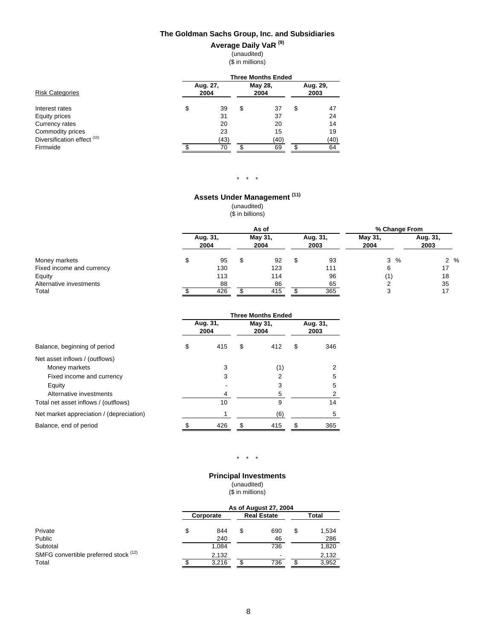# **Average Daily VaR (9)**

(unaudited) (\$ in millions)

|                                        | <b>Three Months Ended</b> |                  |                 |      |                  |      |  |  |  |
|----------------------------------------|---------------------------|------------------|-----------------|------|------------------|------|--|--|--|
| <b>Risk Categories</b>                 |                           | Aug. 27,<br>2004 | May 28,<br>2004 |      | Aug. 29,<br>2003 |      |  |  |  |
| Interest rates                         | \$                        | 39               | \$              | 37   | \$               | 47   |  |  |  |
| Equity prices                          |                           | 31               |                 | 37   |                  | 24   |  |  |  |
| Currency rates                         |                           | 20               |                 | 20   |                  | 14   |  |  |  |
| Commodity prices                       |                           | 23               |                 | 15   |                  | 19   |  |  |  |
| Diversification effect <sup>(10)</sup> |                           | (43)             |                 | (40) |                  | (40) |  |  |  |
| Firmwide                               |                           | 70               |                 | 69   |                  | 64   |  |  |  |

#### $\star$   $\star$   $\star$

## **Assets Under Management (11)**

(unaudited)

(\$ in billions)

|                           | As of            |  |                 |     |                  | % Change From   |                  |  |
|---------------------------|------------------|--|-----------------|-----|------------------|-----------------|------------------|--|
|                           | Aug. 31,<br>2004 |  | May 31,<br>2004 |     | Aug. 31,<br>2003 | May 31,<br>2004 | Aug. 31,<br>2003 |  |
| Money markets             | 95               |  | 92              | \$. | 93               | $3 \frac{9}{6}$ | $2\%$            |  |
| Fixed income and currency | 130              |  | 123             |     | 111              | 6               | 17               |  |
| Equity                    | 113              |  | 114             |     | 96               | (1)             | 18               |  |
| Alternative investments   | 88               |  | 86              |     | 65               | ◠               | 35               |  |
| Total                     | 426              |  | 415             |     | 365              | 3               | 17               |  |

|                                          | <b>Three Months Ended</b> |                  |    |                 |   |                  |  |
|------------------------------------------|---------------------------|------------------|----|-----------------|---|------------------|--|
|                                          |                           | Aug. 31,<br>2004 |    | May 31,<br>2004 |   | Aug. 31,<br>2003 |  |
| Balance, beginning of period             | \$                        | 415              | \$ | 412             | S | 346              |  |
| Net asset inflows / (outflows)           |                           |                  |    |                 |   |                  |  |
| Money markets                            |                           | 3                |    | (1)             |   | 2                |  |
| Fixed income and currency                |                           | 3                |    |                 |   | 5                |  |
| Equity                                   |                           |                  |    |                 |   | 5                |  |
| Alternative investments                  |                           | 4                |    | 5               |   | 2                |  |
| Total net asset inflows / (outflows)     |                           | 10               |    | 9               |   | 14               |  |
| Net market appreciation / (depreciation) |                           |                  |    | (6)             |   | 5                |  |
| Balance, end of period                   |                           | 426              | \$ | 415             |   | 365              |  |

#### $\star$   $\star$   $\star$

**Principal Investments** (unaudited)

(\$ in millions)

| As of August 27, 2004 |       |           |     |                    |       |  |  |
|-----------------------|-------|-----------|-----|--------------------|-------|--|--|
|                       |       |           |     |                    | Total |  |  |
| \$                    | 844   | S         | 690 | \$                 | 1,534 |  |  |
|                       | 240   |           | 46  |                    | 286   |  |  |
|                       | 1,084 |           | 736 |                    | 1,820 |  |  |
|                       | 2,132 |           | ٠   |                    | 2,132 |  |  |
|                       | 3.216 |           | 736 | J.                 | 3.952 |  |  |
|                       |       | Corporate |     | <b>Real Estate</b> |       |  |  |